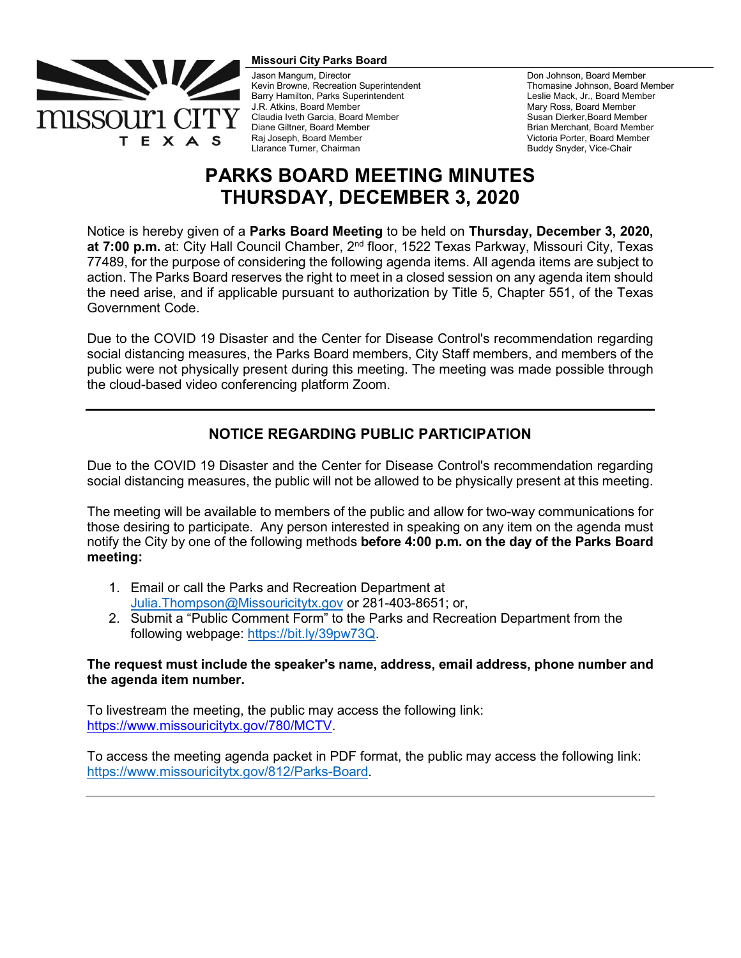

#### **Missouri City Parks Board**

Jason Mangum, Director Kevin Browne, Recreation Superintendent Barry Hamilton, Parks Superintendent J.R. Atkins, Board Member Claudia Iveth Garcia, Board Member Diane Giltner, Board Member Raj Joseph, Board Member Llarance Turner, Chairman

Don Johnson, Board Member Thomasine Johnson, Board Member Leslie Mack, Jr., Board Member Mary Ross, Board Member Susan Dierker,Board Member Brian Merchant, Board Member Victoria Porter, Board Member Buddy Snyder, Vice-Chair

# **PARKS BOARD MEETING MINUTES THURSDAY, DECEMBER 3, 2020**

Notice is hereby given of a **Parks Board Meeting** to be held on **Thursday, December 3, 2020,**  at 7:00 p.m. at: City Hall Council Chamber, 2<sup>nd</sup> floor, 1522 Texas Parkway, Missouri City, Texas 77489, for the purpose of considering the following agenda items. All agenda items are subject to action. The Parks Board reserves the right to meet in a closed session on any agenda item should the need arise, and if applicable pursuant to authorization by Title 5, Chapter 551, of the Texas Government Code.

Due to the COVID 19 Disaster and the Center for Disease Control's recommendation regarding social distancing measures, the Parks Board members, City Staff members, and members of the public were not physically present during this meeting. The meeting was made possible through the cloud-based video conferencing platform Zoom.

# **NOTICE REGARDING PUBLIC PARTICIPATION**

Due to the COVID 19 Disaster and the Center for Disease Control's recommendation regarding social distancing measures, the public will not be allowed to be physically present at this meeting.

The meeting will be available to members of the public and allow for two-way communications for those desiring to participate. Any person interested in speaking on any item on the agenda must notify the City by one of the following methods **before 4:00 p.m. on the day of the Parks Board meeting:** 

- 1. Email or call the Parks and Recreation Department at [Julia.Thompson@Missouricitytx.gov](mailto:Julia.Thompson@Missouricitytx.gov) or 281-403-8651; or,
- 2. Submit a "Public Comment Form" to the Parks and Recreation Department from the following webpage: [https://bit.ly/39pw73Q.](https://bit.ly/39pw73Q)

### **The request must include the speaker's name, address, email address, phone number and the agenda item number.**

To livestream the meeting, the public may access the following link: [https://www.missouricitytx.gov/780/MCTV.](https://www.missouricitytx.gov/780/MCTV)

To access the meeting agenda packet in PDF format, the public may access the following link: [https://www.missouricitytx.gov/812/Parks-Board.](https://www.missouricitytx.gov/812/Parks-Board)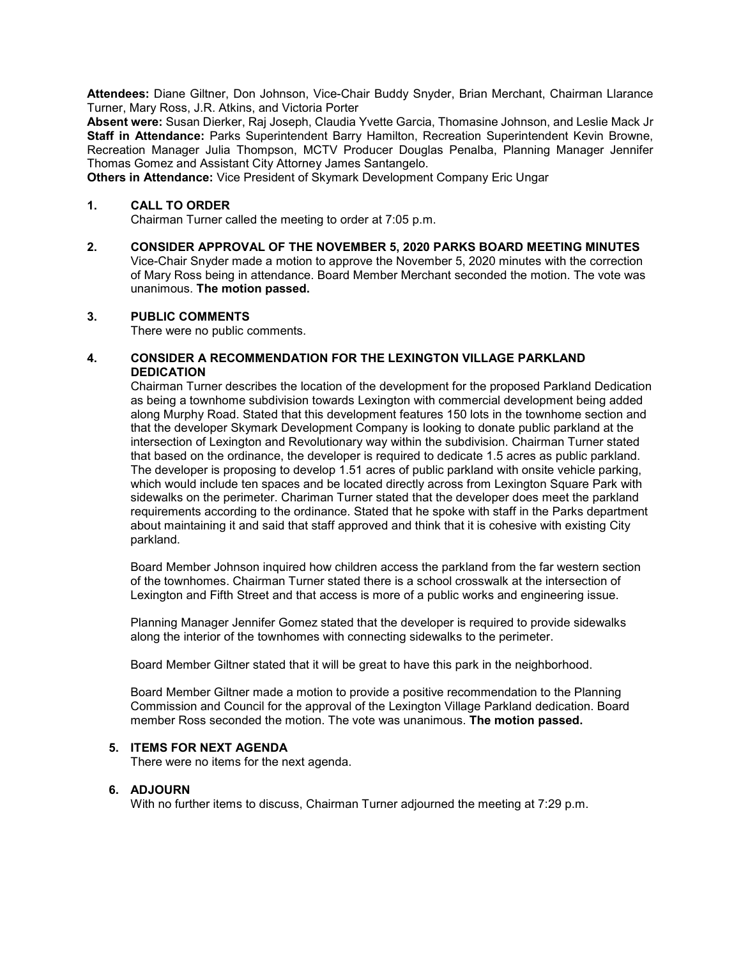**Attendees:** Diane Giltner, Don Johnson, Vice-Chair Buddy Snyder, Brian Merchant, Chairman Llarance Turner, Mary Ross, J.R. Atkins, and Victoria Porter

**Absent were:** Susan Dierker, Raj Joseph, Claudia Yvette Garcia, Thomasine Johnson, and Leslie Mack Jr **Staff in Attendance:** Parks Superintendent Barry Hamilton, Recreation Superintendent Kevin Browne, Recreation Manager Julia Thompson, MCTV Producer Douglas Penalba, Planning Manager Jennifer Thomas Gomez and Assistant City Attorney James Santangelo.

**Others in Attendance:** Vice President of Skymark Development Company Eric Ungar

#### **1. CALL TO ORDER**

Chairman Turner called the meeting to order at 7:05 p.m.

**2. CONSIDER APPROVAL OF THE NOVEMBER 5, 2020 PARKS BOARD MEETING MINUTES** Vice-Chair Snyder made a motion to approve the November 5, 2020 minutes with the correction of Mary Ross being in attendance. Board Member Merchant seconded the motion. The vote was unanimous. **The motion passed.** 

#### **3. PUBLIC COMMENTS**

There were no public comments.

#### **4. CONSIDER A RECOMMENDATION FOR THE LEXINGTON VILLAGE PARKLAND DEDICATION**

Chairman Turner describes the location of the development for the proposed Parkland Dedication as being a townhome subdivision towards Lexington with commercial development being added along Murphy Road. Stated that this development features 150 lots in the townhome section and that the developer Skymark Development Company is looking to donate public parkland at the intersection of Lexington and Revolutionary way within the subdivision. Chairman Turner stated that based on the ordinance, the developer is required to dedicate 1.5 acres as public parkland. The developer is proposing to develop 1.51 acres of public parkland with onsite vehicle parking, which would include ten spaces and be located directly across from Lexington Square Park with sidewalks on the perimeter. Chariman Turner stated that the developer does meet the parkland requirements according to the ordinance. Stated that he spoke with staff in the Parks department about maintaining it and said that staff approved and think that it is cohesive with existing City parkland.

Board Member Johnson inquired how children access the parkland from the far western section of the townhomes. Chairman Turner stated there is a school crosswalk at the intersection of Lexington and Fifth Street and that access is more of a public works and engineering issue.

Planning Manager Jennifer Gomez stated that the developer is required to provide sidewalks along the interior of the townhomes with connecting sidewalks to the perimeter.

Board Member Giltner stated that it will be great to have this park in the neighborhood.

Board Member Giltner made a motion to provide a positive recommendation to the Planning Commission and Council for the approval of the Lexington Village Parkland dedication. Board member Ross seconded the motion. The vote was unanimous. **The motion passed.**

#### **5. ITEMS FOR NEXT AGENDA**

There were no items for the next agenda.

#### **6. ADJOURN**

With no further items to discuss, Chairman Turner adjourned the meeting at 7:29 p.m.